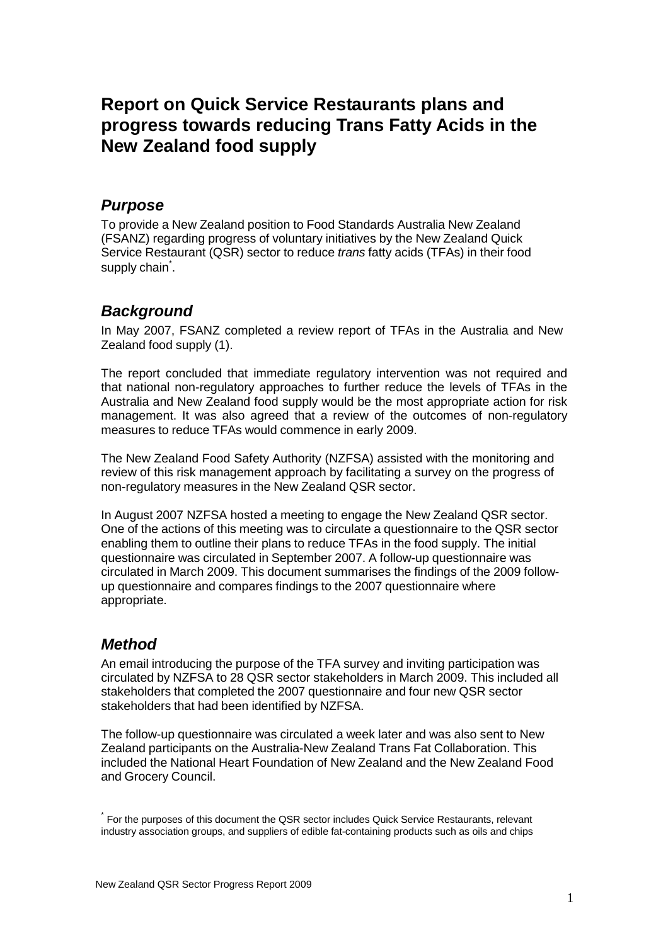# **Report on Quick Service Restaurants plans and progress towards reducing Trans Fatty Acids in the New Zealand food supply**

### *Purpose*

To provide a New Zealand position to Food Standards Australia New Zealand (FSANZ) regarding progress of voluntary initiatives by the New Zealand Quick Service Restaurant (QSR) sector to reduce *trans* fatty acids (TFAs) in their food supply chain $\;\dot{\,}$  .

## *Background*

In May 2007, FSANZ completed a review report of TFAs in the Australia and New Zealand food supply (1).

The report concluded that immediate regulatory intervention was not required and that national non-regulatory approaches to further reduce the levels of TFAs in the Australia and New Zealand food supply would be the most appropriate action for risk management. It was also agreed that a review of the outcomes of non-regulatory measures to reduce TFAs would commence in early 2009.

The New Zealand Food Safety Authority (NZFSA) assisted with the monitoring and review of this risk management approach by facilitating a survey on the progress of non-regulatory measures in the New Zealand QSR sector.

In August 2007 NZFSA hosted a meeting to engage the New Zealand QSR sector. One of the actions of this meeting was to circulate a questionnaire to the QSR sector enabling them to outline their plans to reduce TFAs in the food supply. The initial questionnaire was circulated in September 2007. A follow-up questionnaire was circulated in March 2009. This document summarises the findings of the 2009 followup questionnaire and compares findings to the 2007 questionnaire where appropriate.

# *Method*

An email introducing the purpose of the TFA survey and inviting participation was circulated by NZFSA to 28 QSR sector stakeholders in March 2009. This included all stakeholders that completed the 2007 questionnaire and four new QSR sector stakeholders that had been identified by NZFSA.

The follow-up questionnaire was circulated a week later and was also sent to New Zealand participants on the Australia-New Zealand Trans Fat Collaboration. This included the National Heart Foundation of New Zealand and the New Zealand Food and Grocery Council.

<sup>\*</sup> For the purposes of this document the QSR sector includes Quick Service Restaurants, relevant industry association groups, and suppliers of edible fat-containing products such as oils and chips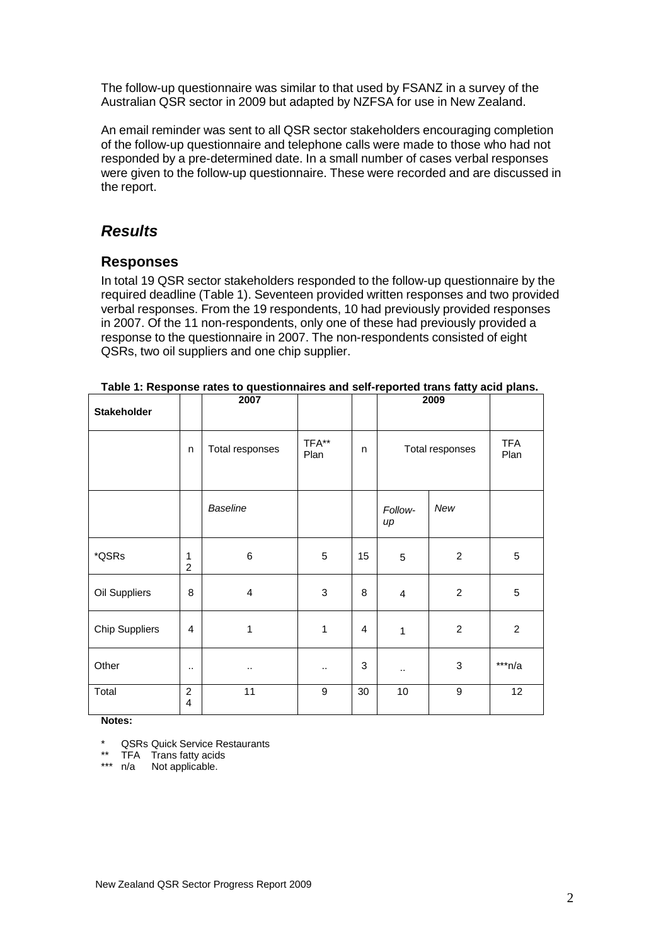The follow-up questionnaire was similar to that used by FSANZ in a survey of the Australian QSR sector in 2009 but adapted by NZFSA for use in New Zealand.

An email reminder was sent to all QSR sector stakeholders encouraging completion of the follow-up questionnaire and telephone calls were made to those who had not responded by a pre-determined date. In a small number of cases verbal responses were given to the follow-up questionnaire. These were recorded and are discussed in the report.

## *Results*

### **Responses**

In total 19 QSR sector stakeholders responded to the follow-up questionnaire by the required deadline (Table 1). Seventeen provided written responses and two provided verbal responses. From the 19 respondents, 10 had previously provided responses in 2007. Of the 11 non-respondents, only one of these had previously provided a response to the questionnaire in 2007. The non-respondents consisted of eight QSRs, two oil suppliers and one chip supplier.

| <b>Stakeholder</b>    |                     | 2007            |               |                           | 2009            |                |                    |
|-----------------------|---------------------|-----------------|---------------|---------------------------|-----------------|----------------|--------------------|
|                       | n                   | Total responses | TFA**<br>Plan | n                         | Total responses |                | <b>TFA</b><br>Plan |
|                       |                     | <b>Baseline</b> |               |                           | Follow-<br>up   | New            |                    |
| *QSRs                 | 1<br>$\overline{c}$ | $\,6$           | 5             | 15                        | 5               | $\overline{c}$ | 5                  |
| Oil Suppliers         | 8                   | $\overline{4}$  | 3             | 8                         | $\overline{4}$  | $\overline{c}$ | 5                  |
| <b>Chip Suppliers</b> | 4                   | 1               | $\mathbf{1}$  | $\overline{4}$            | 1               | $\overline{2}$ | $\overline{2}$     |
| Other                 | $\cdot$ .           |                 | $\ldots$      | $\ensuremath{\mathsf{3}}$ |                 | $\,$ 3 $\,$    | $***n/a$           |
| Total                 | $\overline{c}$<br>4 | 11              | 9             | 30                        | 10              | 9              | 12                 |

**Table 1: Response rates to questionnaires and self-reported trans fatty acid plans.**

**Notes:**

\* QSRs Quick Service Restaurants

\*\* TFA Trans fatty acids

\*\*\* n/a Not applicable.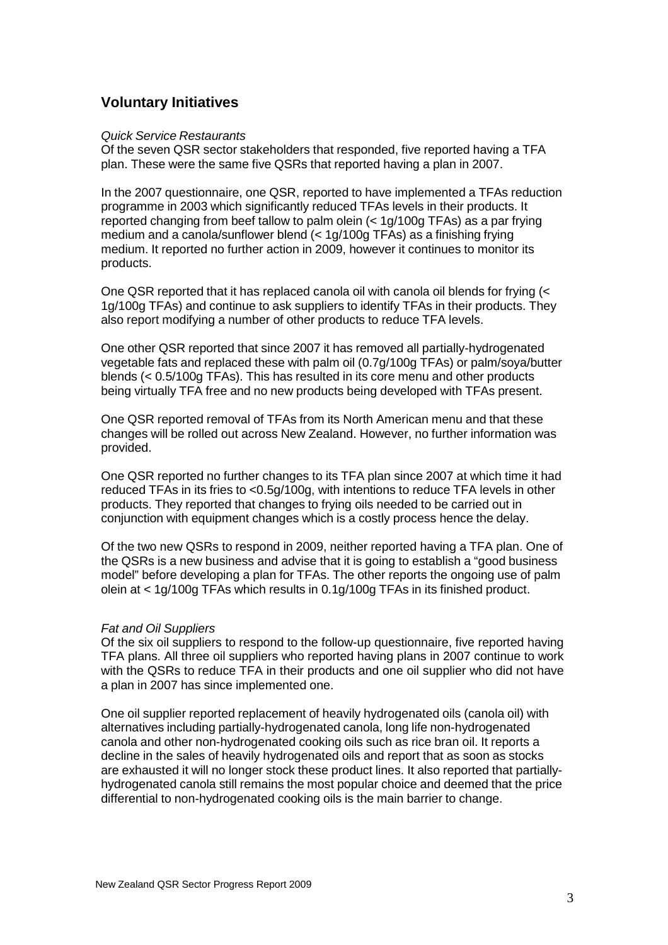### **Voluntary Initiatives**

#### *Quick Service Restaurants*

Of the seven QSR sector stakeholders that responded, five reported having a TFA plan. These were the same five QSRs that reported having a plan in 2007.

In the 2007 questionnaire, one QSR, reported to have implemented a TFAs reduction programme in 2003 which significantly reduced TFAs levels in their products. It reported changing from beef tallow to palm olein (< 1g/100g TFAs) as a par frying medium and a canola/sunflower blend (< 1g/100g TFAs) as a finishing frying medium. It reported no further action in 2009, however it continues to monitor its products.

One QSR reported that it has replaced canola oil with canola oil blends for frying (< 1g/100g TFAs) and continue to ask suppliers to identify TFAs in their products. They also report modifying a number of other products to reduce TFA levels.

One other QSR reported that since 2007 it has removed all partially-hydrogenated vegetable fats and replaced these with palm oil (0.7g/100g TFAs) or palm/soya/butter blends (< 0.5/100g TFAs). This has resulted in its core menu and other products being virtually TFA free and no new products being developed with TFAs present.

One QSR reported removal of TFAs from its North American menu and that these changes will be rolled out across New Zealand. However, no further information was provided.

One QSR reported no further changes to its TFA plan since 2007 at which time it had reduced TFAs in its fries to <0.5g/100g, with intentions to reduce TFA levels in other products. They reported that changes to frying oils needed to be carried out in conjunction with equipment changes which is a costly process hence the delay.

Of the two new QSRs to respond in 2009, neither reported having a TFA plan. One of the QSRs is a new business and advise that it is going to establish a "good business model" before developing a plan for TFAs. The other reports the ongoing use of palm olein at < 1g/100g TFAs which results in 0.1g/100g TFAs in its finished product.

#### *Fat and Oil Suppliers*

Of the six oil suppliers to respond to the follow-up questionnaire, five reported having TFA plans. All three oil suppliers who reported having plans in 2007 continue to work with the QSRs to reduce TFA in their products and one oil supplier who did not have a plan in 2007 has since implemented one.

One oil supplier reported replacement of heavily hydrogenated oils (canola oil) with alternatives including partially-hydrogenated canola, long life non-hydrogenated canola and other non-hydrogenated cooking oils such as rice bran oil. It reports a decline in the sales of heavily hydrogenated oils and report that as soon as stocks are exhausted it will no longer stock these product lines. It also reported that partiallyhydrogenated canola still remains the most popular choice and deemed that the price differential to non-hydrogenated cooking oils is the main barrier to change.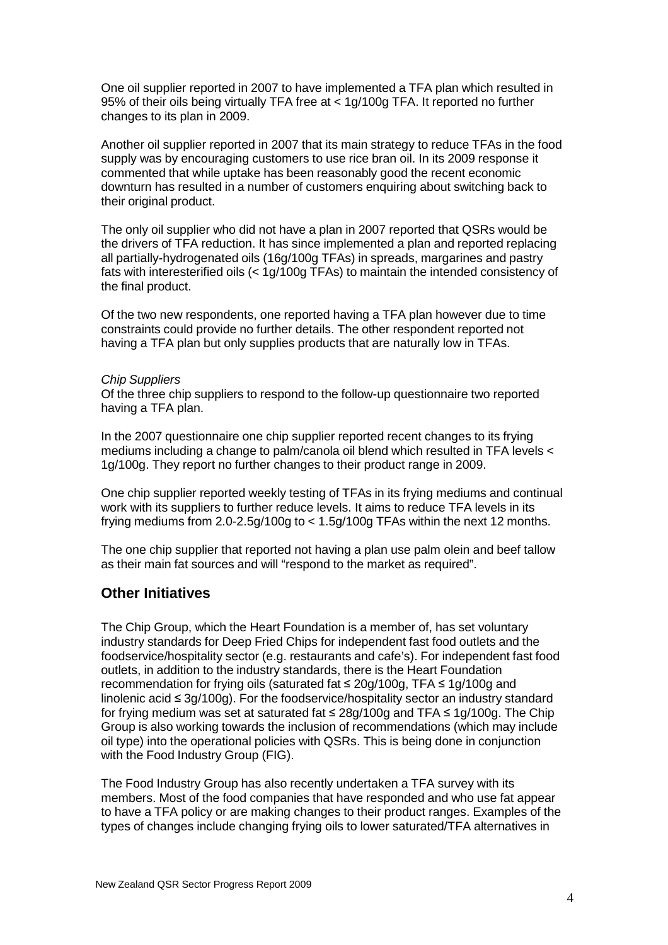One oil supplier reported in 2007 to have implemented a TFA plan which resulted in 95% of their oils being virtually TFA free at < 1g/100g TFA. It reported no further changes to its plan in 2009.

Another oil supplier reported in 2007 that its main strategy to reduce TFAs in the food supply was by encouraging customers to use rice bran oil. In its 2009 response it commented that while uptake has been reasonably good the recent economic downturn has resulted in a number of customers enquiring about switching back to their original product.

The only oil supplier who did not have a plan in 2007 reported that QSRs would be the drivers of TFA reduction. It has since implemented a plan and reported replacing all partially-hydrogenated oils (16g/100g TFAs) in spreads, margarines and pastry fats with interesterified oils (< 1g/100g TFAs) to maintain the intended consistency of the final product.

Of the two new respondents, one reported having a TFA plan however due to time constraints could provide no further details. The other respondent reported not having a TFA plan but only supplies products that are naturally low in TFAs.

#### *Chip Suppliers*

Of the three chip suppliers to respond to the follow-up questionnaire two reported having a TFA plan.

In the 2007 questionnaire one chip supplier reported recent changes to its frying mediums including a change to palm/canola oil blend which resulted in TFA levels < 1g/100g. They report no further changes to their product range in 2009.

One chip supplier reported weekly testing of TFAs in its frying mediums and continual work with its suppliers to further reduce levels. It aims to reduce TFA levels in its frying mediums from 2.0-2.5g/100g to < 1.5g/100g TFAs within the next 12 months.

The one chip supplier that reported not having a plan use palm olein and beef tallow as their main fat sources and will "respond to the market as required".

### **Other Initiatives**

The Chip Group, which the Heart Foundation is a member of, has set voluntary industry standards for Deep Fried Chips for independent fast food outlets and the foodservice/hospitality sector (e.g. restaurants and cafe's). For independent fast food outlets, in addition to the industry standards, there is the Heart Foundation recommendation for frying oils (saturated fat ≤ 20g/100g, TFA ≤ 1g/100g and linolenic acid ≤ 3g/100g). For the foodservice/hospitality sector an industry standard for frying medium was set at saturated fat ≤ 28g/100g and TFA ≤ 1g/100g. The Chip Group is also working towards the inclusion of recommendations (which may include oil type) into the operational policies with QSRs. This is being done in conjunction with the Food Industry Group (FIG).

The Food Industry Group has also recently undertaken a TFA survey with its members. Most of the food companies that have responded and who use fat appear to have a TFA policy or are making changes to their product ranges. Examples of the types of changes include changing frying oils to lower saturated/TFA alternatives in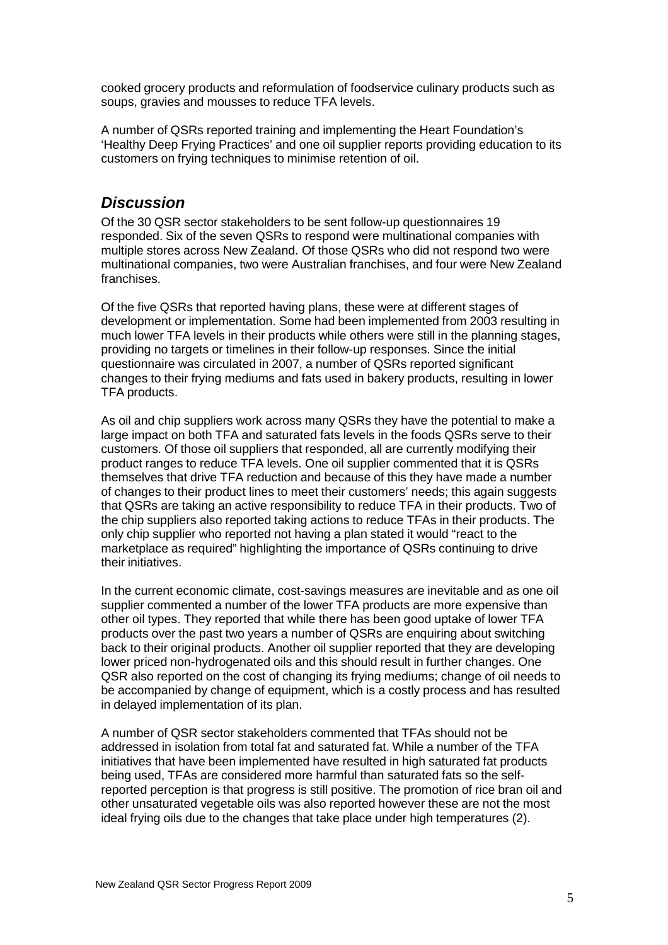cooked grocery products and reformulation of foodservice culinary products such as soups, gravies and mousses to reduce TFA levels.

A number of QSRs reported training and implementing the Heart Foundation's 'Healthy Deep Frying Practices' and one oil supplier reports providing education to its customers on frying techniques to minimise retention of oil.

### *Discussion*

Of the 30 QSR sector stakeholders to be sent follow-up questionnaires 19 responded. Six of the seven QSRs to respond were multinational companies with multiple stores across New Zealand. Of those QSRs who did not respond two were multinational companies, two were Australian franchises, and four were New Zealand franchises.

Of the five QSRs that reported having plans, these were at different stages of development or implementation. Some had been implemented from 2003 resulting in much lower TFA levels in their products while others were still in the planning stages, providing no targets or timelines in their follow-up responses. Since the initial questionnaire was circulated in 2007, a number of QSRs reported significant changes to their frying mediums and fats used in bakery products, resulting in lower TFA products.

As oil and chip suppliers work across many QSRs they have the potential to make a large impact on both TFA and saturated fats levels in the foods QSRs serve to their customers. Of those oil suppliers that responded, all are currently modifying their product ranges to reduce TFA levels. One oil supplier commented that it is QSRs themselves that drive TFA reduction and because of this they have made a number of changes to their product lines to meet their customers' needs; this again suggests that QSRs are taking an active responsibility to reduce TFA in their products. Two of the chip suppliers also reported taking actions to reduce TFAs in their products. The only chip supplier who reported not having a plan stated it would "react to the marketplace as required" highlighting the importance of QSRs continuing to drive their initiatives.

In the current economic climate, cost-savings measures are inevitable and as one oil supplier commented a number of the lower TFA products are more expensive than other oil types. They reported that while there has been good uptake of lower TFA products over the past two years a number of QSRs are enquiring about switching back to their original products. Another oil supplier reported that they are developing lower priced non-hydrogenated oils and this should result in further changes. One QSR also reported on the cost of changing its frying mediums; change of oil needs to be accompanied by change of equipment, which is a costly process and has resulted in delayed implementation of its plan.

A number of QSR sector stakeholders commented that TFAs should not be addressed in isolation from total fat and saturated fat. While a number of the TFA initiatives that have been implemented have resulted in high saturated fat products being used, TFAs are considered more harmful than saturated fats so the selfreported perception is that progress is still positive. The promotion of rice bran oil and other unsaturated vegetable oils was also reported however these are not the most ideal frying oils due to the changes that take place under high temperatures (2).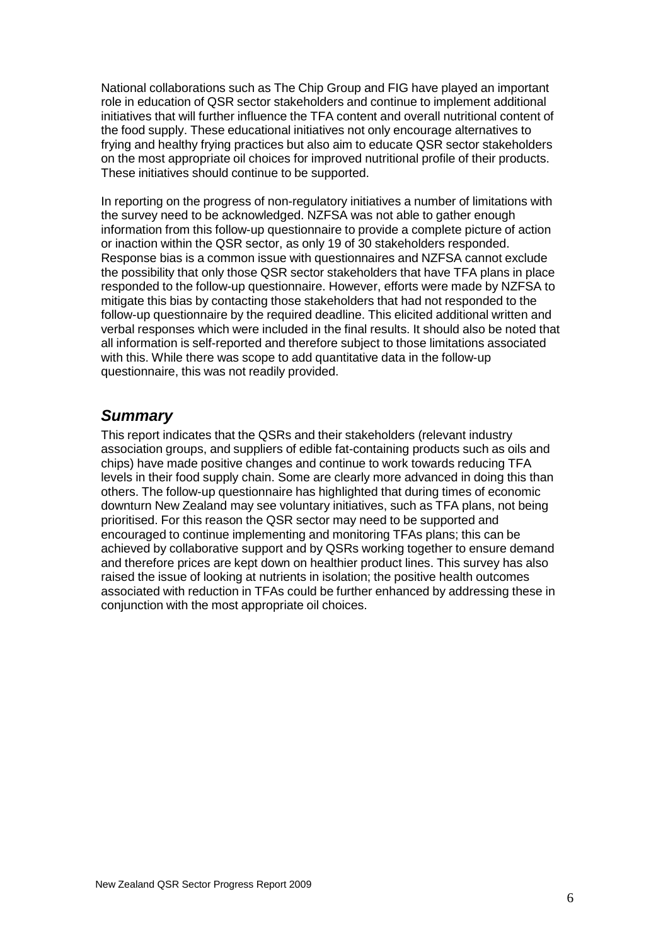National collaborations such as The Chip Group and FIG have played an important role in education of QSR sector stakeholders and continue to implement additional initiatives that will further influence the TFA content and overall nutritional content of the food supply. These educational initiatives not only encourage alternatives to frying and healthy frying practices but also aim to educate QSR sector stakeholders on the most appropriate oil choices for improved nutritional profile of their products. These initiatives should continue to be supported.

In reporting on the progress of non-regulatory initiatives a number of limitations with the survey need to be acknowledged. NZFSA was not able to gather enough information from this follow-up questionnaire to provide a complete picture of action or inaction within the QSR sector, as only 19 of 30 stakeholders responded. Response bias is a common issue with questionnaires and NZFSA cannot exclude the possibility that only those QSR sector stakeholders that have TFA plans in place responded to the follow-up questionnaire. However, efforts were made by NZFSA to mitigate this bias by contacting those stakeholders that had not responded to the follow-up questionnaire by the required deadline. This elicited additional written and verbal responses which were included in the final results. It should also be noted that all information is self-reported and therefore subject to those limitations associated with this. While there was scope to add quantitative data in the follow-up questionnaire, this was not readily provided.

## *Summary*

This report indicates that the QSRs and their stakeholders (relevant industry association groups, and suppliers of edible fat-containing products such as oils and chips) have made positive changes and continue to work towards reducing TFA levels in their food supply chain. Some are clearly more advanced in doing this than others. The follow-up questionnaire has highlighted that during times of economic downturn New Zealand may see voluntary initiatives, such as TFA plans, not being prioritised. For this reason the QSR sector may need to be supported and encouraged to continue implementing and monitoring TFAs plans; this can be achieved by collaborative support and by QSRs working together to ensure demand and therefore prices are kept down on healthier product lines. This survey has also raised the issue of looking at nutrients in isolation; the positive health outcomes associated with reduction in TFAs could be further enhanced by addressing these in conjunction with the most appropriate oil choices.